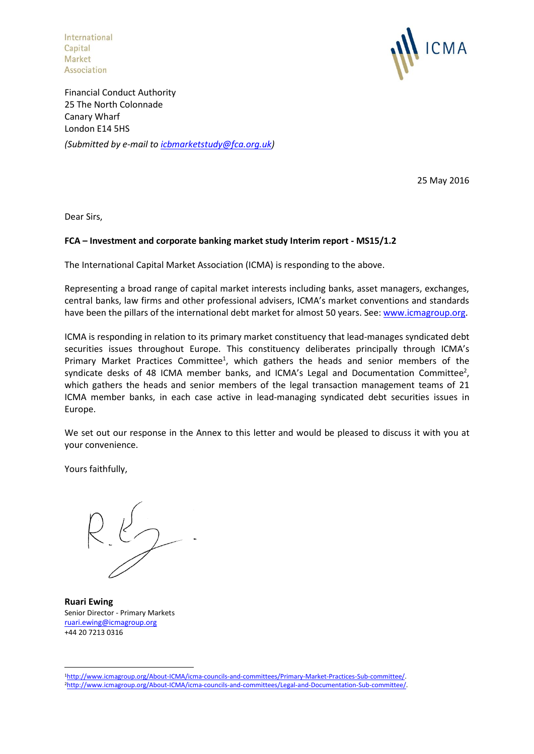International Capital Market<br>Association



Financial Conduct Authority 25 The North Colonnade Canary Wharf London E14 5HS *(Submitted by e-mail to [icbmarketstudy@fca.org.uk\)](mailto:icbmarketstudy@fca.org.uk)*

25 May 2016

Dear Sirs,

# **FCA – Investment and corporate banking market study Interim report - MS15/1.2**

The International Capital Market Association (ICMA) is responding to the above.

Representing a broad range of capital market interests including banks, asset managers, exchanges, central banks, law firms and other professional advisers, ICMA's market conventions and standards have been the pillars of the international debt market for almost 50 years. See[: www.icmagroup.org.](http://www.icmagroup.org/)

ICMA is responding in relation to its primary market constituency that lead-manages syndicated debt securities issues throughout Europe. This constituency deliberates principally through ICMA's Primary Market Practices Committee<sup>1</sup>, which gathers the heads and senior members of the syndicate desks of 48 ICMA member banks, and ICMA's Legal and Documentation Committee<sup>2</sup>, which gathers the heads and senior members of the legal transaction management teams of 21 ICMA member banks, in each case active in lead-managing syndicated debt securities issues in Europe.

We set out our response in the Annex to this letter and would be pleased to discuss it with you at your convenience.

Yours faithfully,

**Ruari Ewing** Senior Director - Primary Markets [ruari.ewing@icmagroup.org](mailto:ruari.ewing@icmagroup.org) +44 20 7213 0316

1

<sup>1</sup>[http://www.icmagroup.org/About-ICMA/icma-councils-and-committees/Primary-Market-Practices-Sub-committee/.](http://www.icmagroup.org/About-ICMA/icma-councils-and-committees/Primary-Market-Practices-Sub-committee/)  2[http://www.icmagroup.org/About-ICMA/icma-councils-and-committees/Legal-and-Documentation-Sub-committee/.](http://www.icmagroup.org/About-ICMA/icma-councils-and-committees/Legal-and-Documentation-Sub-committee/)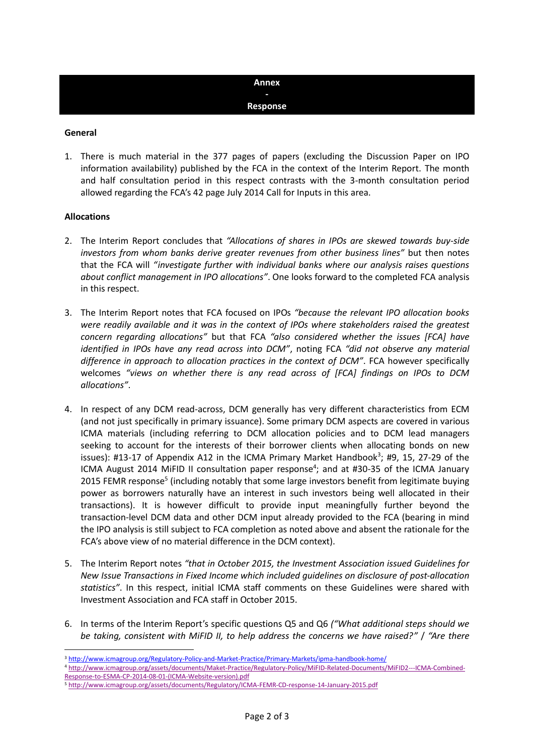# **Annex - Response**

### **General**

1. There is much material in the 377 pages of papers (excluding the Discussion Paper on IPO information availability) published by the FCA in the context of the Interim Report. The month and half consultation period in this respect contrasts with the 3-month consultation period allowed regarding the FCA's 42 page July 2014 Call for Inputs in this area.

# **Allocations**

**.** 

- 2. The Interim Report concludes that *"Allocations of shares in IPOs are skewed towards buy-side investors from whom banks derive greater revenues from other business lines"* but then notes that the FCA will *"investigate further with individual banks where our analysis raises questions about conflict management in IPO allocations"*. One looks forward to the completed FCA analysis in this respect.
- 3. The Interim Report notes that FCA focused on IPOs *"because the relevant IPO allocation books were readily available and it was in the context of IPOs where stakeholders raised the greatest concern regarding allocations"* but that FCA *"also considered whether the issues [FCA] have identified in IPOs have any read across into DCM"*, noting FCA *"did not observe any material difference in approach to allocation practices in the context of DCM"*. FCA however specifically welcomes *"views on whether there is any read across of [FCA] findings on IPOs to DCM allocations"*.
- 4. In respect of any DCM read-across, DCM generally has very different characteristics from ECM (and not just specifically in primary issuance). Some primary DCM aspects are covered in various ICMA materials (including referring to DCM allocation policies and to DCM lead managers seeking to account for the interests of their borrower clients when allocating bonds on new issues): #13-17 of Appendix A12 in the ICMA Primary Market Handbook<sup>3</sup>; #9, 15, 27-29 of the ICMA August 2014 MiFID II consultation paper response<sup>4</sup>; and at #30-35 of the ICMA January 2015 FEMR response<sup>5</sup> (including notably that some large investors benefit from legitimate buying power as borrowers naturally have an interest in such investors being well allocated in their transactions). It is however difficult to provide input meaningfully further beyond the transaction-level DCM data and other DCM input already provided to the FCA (bearing in mind the IPO analysis is still subject to FCA completion as noted above and absent the rationale for the FCA's above view of no material difference in the DCM context).
- 5. The Interim Report notes *"that in October 2015, the Investment Association issued Guidelines for New Issue Transactions in Fixed Income which included guidelines on disclosure of post-allocation statistics"*. In this respect, initial ICMA staff comments on these Guidelines were shared with Investment Association and FCA staff in October 2015.
- 6. In terms of the Interim Report's specific questions Q5 and Q6 *("What additional steps should we be taking, consistent with MiFID II, to help address the concerns we have raised?"* / *"Are there*

<sup>&</sup>lt;sup>3</sup> <http://www.icmagroup.org/Regulatory-Policy-and-Market-Practice/Primary-Markets/ipma-handbook-home/>

<sup>4</sup> [http://www.icmagroup.org/assets/documents/Maket-Practice/Regulatory-Policy/MiFID-Related-Documents/MiFID2---ICMA-Combined-](http://www.icmagroup.org/assets/documents/Maket-Practice/Regulatory-Policy/MiFID-Related-Documents/MiFID2---ICMA-Combined-Response-to-ESMA-CP-2014-08-01-(ICMA-Website-version).pdf)[Response-to-ESMA-CP-2014-08-01-\(ICMA-Website-version\).pdf](http://www.icmagroup.org/assets/documents/Maket-Practice/Regulatory-Policy/MiFID-Related-Documents/MiFID2---ICMA-Combined-Response-to-ESMA-CP-2014-08-01-(ICMA-Website-version).pdf)

<sup>5</sup> <http://www.icmagroup.org/assets/documents/Regulatory/ICMA-FEMR-CD-response-14-January-2015.pdf>